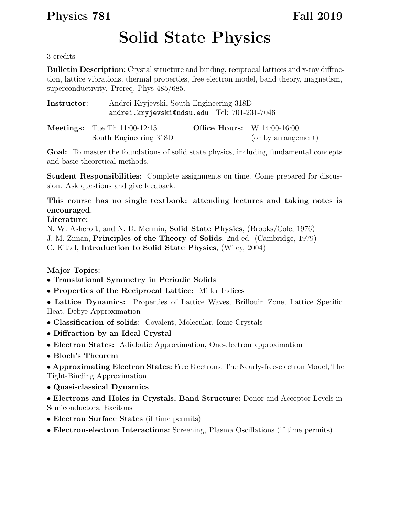## Physics 781 Fall 2019

## Solid State Physics

3 credits

Bulletin Description: Crystal structure and binding, reciprocal lattices and x-ray diffraction, lattice vibrations, thermal properties, free electron model, band theory, magnetism, superconductivity. Prereq. Phys 485/685.

| Instructor: | Andrei Kryjevski, South Engineering 318D<br>andrei.kryjevski@ndsu.edu Tel: 701-231-7046 |                                      |                     |
|-------------|-----------------------------------------------------------------------------------------|--------------------------------------|---------------------|
|             | <b>Meetings:</b> Tue Th $11:00-12:15$<br>South Engineering 318D                         | <b>Office Hours:</b> W $14:00-16:00$ | (or by arrangement) |

Goal: To master the foundations of solid state physics, including fundamental concepts and basic theoretical methods.

Student Responsibilities: Complete assignments on time. Come prepared for discussion. Ask questions and give feedback.

This course has no single textbook: attending lectures and taking notes is encouraged.

## Literature:

N. W. Ashcroft, and N. D. Mermin, Solid State Physics, (Brooks/Cole, 1976) J. M. Ziman, Principles of the Theory of Solids, 2nd ed. (Cambridge, 1979) C. Kittel, Introduction to Solid State Physics, (Wiley, 2004)

Major Topics:

- Translational Symmetry in Periodic Solids
- Properties of the Reciprocal Lattice: Miller Indices

• Lattice Dynamics: Properties of Lattice Waves, Brillouin Zone, Lattice Specific Heat, Debye Approximation

- Classification of solids: Covalent, Molecular, Ionic Crystals
- Diffraction by an Ideal Crystal
- Electron States: Adiabatic Approximation, One-electron approximation
- Bloch's Theorem

• Approximating Electron States: Free Electrons, The Nearly-free-electron Model, The Tight-Binding Approximation

- Quasi-classical Dynamics
- Electrons and Holes in Crystals, Band Structure: Donor and Acceptor Levels in Semiconductors, Excitons
- Electron Surface States (if time permits)
- Electron-electron Interactions: Screening, Plasma Oscillations (if time permits)